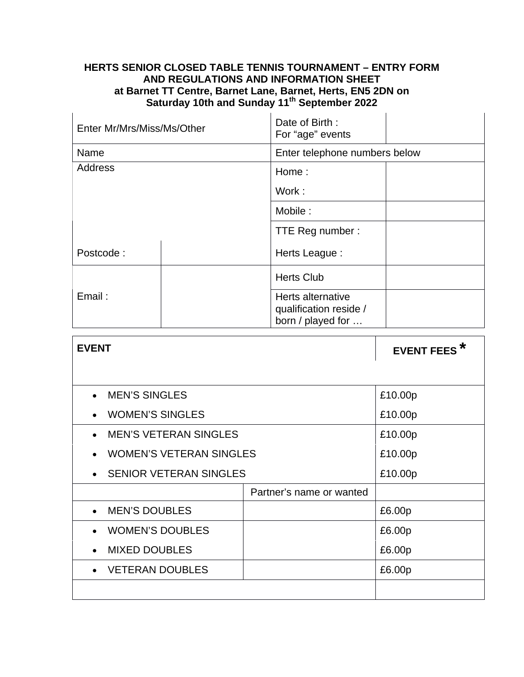# **HERTS SENIOR CLOSED TABLE TENNIS TOURNAMENT – ENTRY FORM AND REGULATIONS AND INFORMATION SHEET at Barnet TT Centre, Barnet Lane, Barnet, Herts, EN5 2DN on Saturday 10th and Sunday 11th September 2022**

| Enter Mr/Mrs/Miss/Ms/Other | Date of Birth:<br>For "age" events                               |  |
|----------------------------|------------------------------------------------------------------|--|
| Name                       | Enter telephone numbers below                                    |  |
| Address                    | Home:                                                            |  |
|                            | Work:                                                            |  |
|                            | Mobile:                                                          |  |
|                            | TTE Reg number:                                                  |  |
| Postcode:                  | Herts League:                                                    |  |
|                            | <b>Herts Club</b>                                                |  |
| Email:                     | Herts alternative<br>qualification reside /<br>born / played for |  |

| <b>EVENT</b>                              |                          | <b>EVENT FEES</b> |
|-------------------------------------------|--------------------------|-------------------|
|                                           |                          |                   |
| <b>MEN'S SINGLES</b>                      |                          | £10.00p           |
| <b>WOMEN'S SINGLES</b>                    |                          | £10.00p           |
| <b>MEN'S VETERAN SINGLES</b><br>$\bullet$ |                          | £10.00p           |
| • WOMEN'S VETERAN SINGLES                 |                          | £10.00p           |
| • SENIOR VETERAN SINGLES                  |                          | £10.00p           |
|                                           | Partner's name or wanted |                   |
| <b>MEN'S DOUBLES</b>                      |                          | £6.00p            |
| <b>WOMEN'S DOUBLES</b>                    |                          | £6.00p            |
| <b>MIXED DOUBLES</b>                      |                          | £6.00p            |
| <b>VETERAN DOUBLES</b>                    |                          | £6.00p            |
|                                           |                          |                   |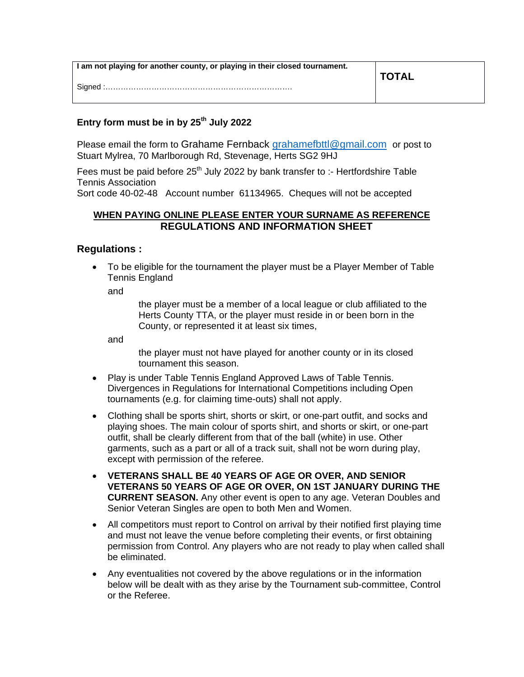| I am not playing for another county, or playing in their closed tournament. | <b>TOTAL</b> |
|-----------------------------------------------------------------------------|--------------|
|                                                                             |              |

## **Entry form must be in by 25th July 2022**

Please email the form to Grahame Fernback [grahamefbttl@gmail.com](mailto:grahamefbttl@gmail.com) or post to Stuart Mylrea, 70 Marlborough Rd, Stevenage, Herts SG2 9HJ

Fees must be paid before  $25<sup>th</sup>$  July 2022 by bank transfer to :- Hertfordshire Table Tennis Association

Sort code 40-02-48 Account number 61134965. Cheques will not be accepted

## **WHEN PAYING ONLINE PLEASE ENTER YOUR SURNAME AS REFERENCE REGULATIONS AND INFORMATION SHEET**

## **Regulations :**

• To be eligible for the tournament the player must be a Player Member of Table Tennis England

and

the player must be a member of a local league or club affiliated to the Herts County TTA, or the player must reside in or been born in the County, or represented it at least six times,

and

the player must not have played for another county or in its closed tournament this season.

- Play is under Table Tennis England Approved Laws of Table Tennis. Divergences in Regulations for International Competitions including Open tournaments (e.g. for claiming time-outs) shall not apply.
- Clothing shall be sports shirt, shorts or skirt, or one-part outfit, and socks and playing shoes. The main colour of sports shirt, and shorts or skirt, or one-part outfit, shall be clearly different from that of the ball (white) in use. Other garments, such as a part or all of a track suit, shall not be worn during play, except with permission of the referee.
- **VETERANS SHALL BE 40 YEARS OF AGE OR OVER, AND SENIOR VETERANS 50 YEARS OF AGE OR OVER, ON 1ST JANUARY DURING THE CURRENT SEASON.** Any other event is open to any age. Veteran Doubles and Senior Veteran Singles are open to both Men and Women.
- All competitors must report to Control on arrival by their notified first playing time and must not leave the venue before completing their events, or first obtaining permission from Control. Any players who are not ready to play when called shall be eliminated.
- Any eventualities not covered by the above regulations or in the information below will be dealt with as they arise by the Tournament sub-committee, Control or the Referee.